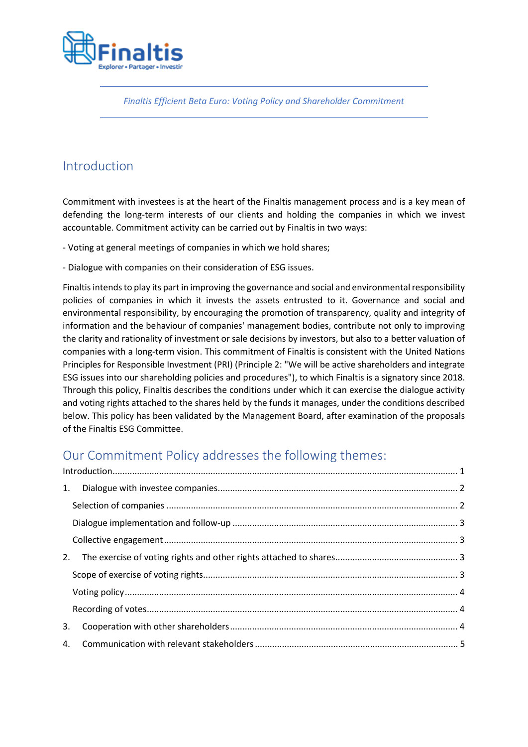

*Finaltis Efficient Beta Euro: Voting Policy and Shareholder Commitment*

# <span id="page-0-0"></span>Introduction

Commitment with investees is at the heart of the Finaltis management process and is a key mean of defending the long-term interests of our clients and holding the companies in which we invest accountable. Commitment activity can be carried out by Finaltis in two ways:

- Voting at general meetings of companies in which we hold shares;

- Dialogue with companies on their consideration of ESG issues.

Finaltis intends to play its part in improving the governance and social and environmental responsibility policies of companies in which it invests the assets entrusted to it. Governance and social and environmental responsibility, by encouraging the promotion of transparency, quality and integrity of information and the behaviour of companies' management bodies, contribute not only to improving the clarity and rationality of investment or sale decisions by investors, but also to a better valuation of companies with a long-term vision. This commitment of Finaltis is consistent with the United Nations Principles for Responsible Investment (PRI) (Principle 2: "We will be active shareholders and integrate ESG issues into our shareholding policies and procedures"), to which Finaltis is a signatory since 2018. Through this policy, Finaltis describes the conditions under which it can exercise the dialogue activity and voting rights attached to the shares held by the funds it manages, under the conditions described below. This policy has been validated by the Management Board, after examination of the proposals of the Finaltis ESG Committee.

# Our Commitment Policy addresses the following themes:

| 2. |  |
|----|--|
|    |  |
|    |  |
|    |  |
| 3. |  |
|    |  |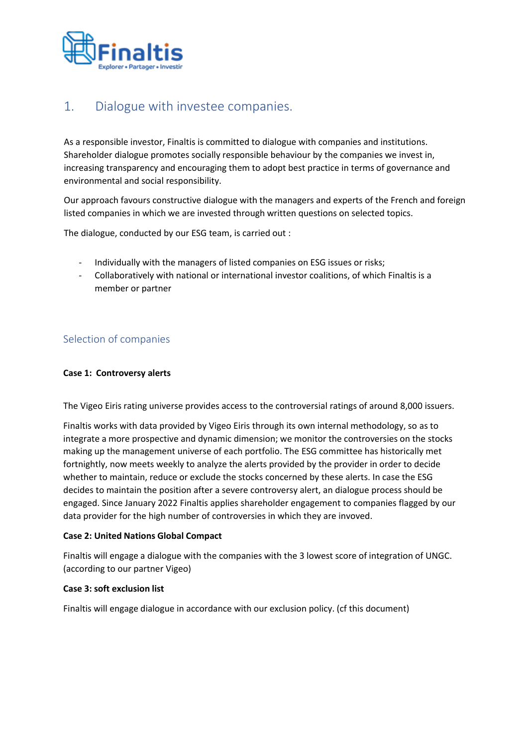

## <span id="page-1-0"></span>1. Dialogue with investee companies.

As a responsible investor, Finaltis is committed to dialogue with companies and institutions. Shareholder dialogue promotes socially responsible behaviour by the companies we invest in, increasing transparency and encouraging them to adopt best practice in terms of governance and environmental and social responsibility.

Our approach favours constructive dialogue with the managers and experts of the French and foreign listed companies in which we are invested through written questions on selected topics.

The dialogue, conducted by our ESG team, is carried out :

- Individually with the managers of listed companies on ESG issues or risks;
- <span id="page-1-1"></span>- Collaboratively with national or international investor coalitions, of which Finaltis is a member or partner

### Selection of companies

#### **Case 1: Controversy alerts**

The Vigeo Eiris rating universe provides access to the controversial ratings of around 8,000 issuers.

Finaltis works with data provided by Vigeo Eiris through its own internal methodology, so as to integrate a more prospective and dynamic dimension; we monitor the controversies on the stocks making up the management universe of each portfolio. The ESG committee has historically met fortnightly, now meets weekly to analyze the alerts provided by the provider in order to decide whether to maintain, reduce or exclude the stocks concerned by these alerts. In case the ESG decides to maintain the position after a severe controversy alert, an dialogue process should be engaged. Since January 2022 Finaltis applies shareholder engagement to companies flagged by our data provider for the high number of controversies in which they are invoved.

#### **Case 2: United Nations Global Compact**

Finaltis will engage a dialogue with the companies with the 3 lowest score of integration of UNGC. (according to our partner Vigeo)

#### **Case 3: soft exclusion list**

Finaltis will engage dialogue in accordance with our exclusion policy. (cf this document)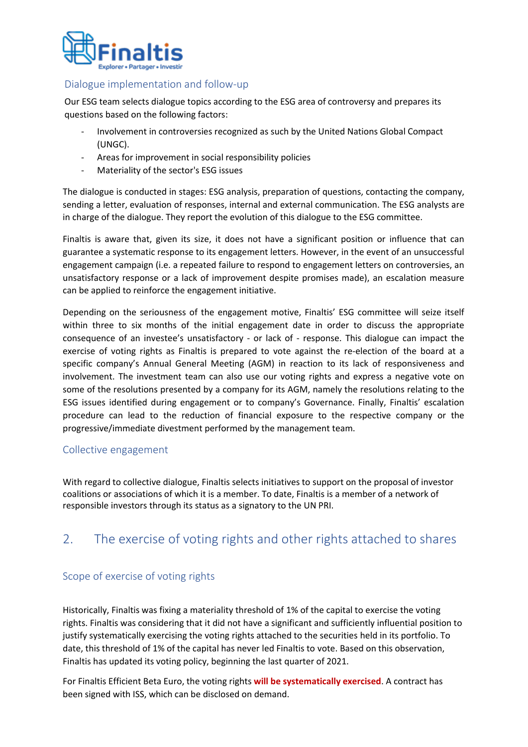

#### Dialogue implementation and follow-up

<span id="page-2-0"></span>Our ESG team selects dialogue topics according to the ESG area of controversy and prepares its questions based on the following factors:

- Involvement in controversies recognized as such by the United Nations Global Compact (UNGC).
- Areas for improvement in social responsibility policies
- Materiality of the sector's ESG issues

The dialogue is conducted in stages: ESG analysis, preparation of questions, contacting the company, sending a letter, evaluation of responses, internal and external communication. The ESG analysts are in charge of the dialogue. They report the evolution of this dialogue to the ESG committee.

Finaltis is aware that, given its size, it does not have a significant position or influence that can guarantee a systematic response to its engagement letters. However, in the event of an unsuccessful engagement campaign (i.e. a repeated failure to respond to engagement letters on controversies, an unsatisfactory response or a lack of improvement despite promises made), an escalation measure can be applied to reinforce the engagement initiative.

Depending on the seriousness of the engagement motive, Finaltis' ESG committee will seize itself within three to six months of the initial engagement date in order to discuss the appropriate consequence of an investee's unsatisfactory - or lack of - response. This dialogue can impact the exercise of voting rights as Finaltis is prepared to vote against the re-election of the board at a specific company's Annual General Meeting (AGM) in reaction to its lack of responsiveness and involvement. The investment team can also use our voting rights and express a negative vote on some of the resolutions presented by a company for its AGM, namely the resolutions relating to the ESG issues identified during engagement or to company's Governance. Finally, Finaltis' escalation procedure can lead to the reduction of financial exposure to the respective company or the progressive/immediate divestment performed by the management team.

#### <span id="page-2-1"></span>Collective engagement

<span id="page-2-2"></span>With regard to collective dialogue, Finaltis selects initiatives to support on the proposal of investor coalitions or associations of which it is a member. To date, Finaltis is a member of a network of responsible investors through its status as a signatory to the UN PRI.

## <span id="page-2-3"></span>2. The exercise of voting rights and other rights attached to shares

### Scope of exercise of voting rights

Historically, Finaltis was fixing a materiality threshold of 1% of the capital to exercise the voting rights. Finaltis was considering that it did not have a significant and sufficiently influential position to justify systematically exercising the voting rights attached to the securities held in its portfolio. To date, this threshold of 1% of the capital has never led Finaltis to vote. Based on this observation, Finaltis has updated its voting policy, beginning the last quarter of 2021.

For Finaltis Efficient Beta Euro, the voting rights **will be systematically exercised**. A contract has been signed with ISS, which can be disclosed on demand.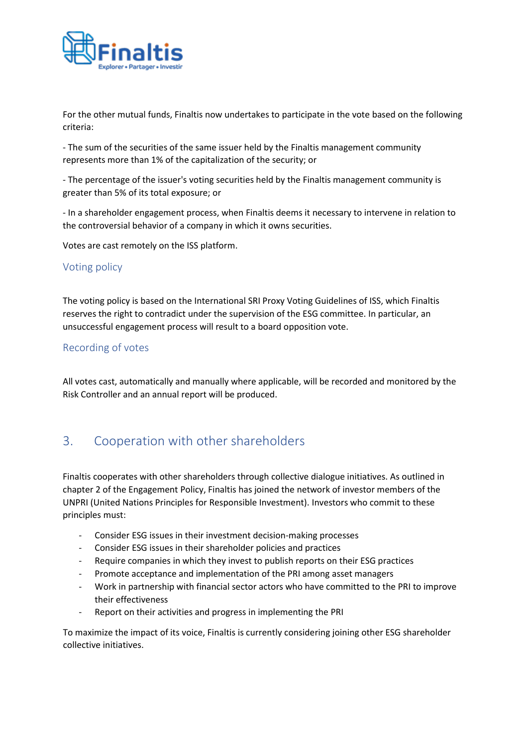

For the other mutual funds, Finaltis now undertakes to participate in the vote based on the following criteria:

- The sum of the securities of the same issuer held by the Finaltis management community represents more than 1% of the capitalization of the security; or

- The percentage of the issuer's voting securities held by the Finaltis management community is greater than 5% of its total exposure; or

<span id="page-3-0"></span>- In a shareholder engagement process, when Finaltis deems it necessary to intervene in relation to the controversial behavior of a company in which it owns securities.

Votes are cast remotely on the ISS platform.

#### Voting policy

<span id="page-3-1"></span>The voting policy is based on the International SRI Proxy Voting Guidelines of ISS, which Finaltis reserves the right to contradict under the supervision of the ESG committee. In particular, an unsuccessful engagement process will result to a board opposition vote.

#### Recording of votes

<span id="page-3-2"></span>All votes cast, automatically and manually where applicable, will be recorded and monitored by the Risk Controller and an annual report will be produced.

## 3. Cooperation with other shareholders

Finaltis cooperates with other shareholders through collective dialogue initiatives. As outlined in chapter 2 of the Engagement Policy, Finaltis has joined the network of investor members of the UNPRI (United Nations Principles for Responsible Investment). Investors who commit to these principles must:

- Consider ESG issues in their investment decision-making processes
- Consider ESG issues in their shareholder policies and practices
- Require companies in which they invest to publish reports on their ESG practices
- Promote acceptance and implementation of the PRI among asset managers
- Work in partnership with financial sector actors who have committed to the PRI to improve their effectiveness
- Report on their activities and progress in implementing the PRI

<span id="page-3-3"></span>To maximize the impact of its voice, Finaltis is currently considering joining other ESG shareholder collective initiatives.